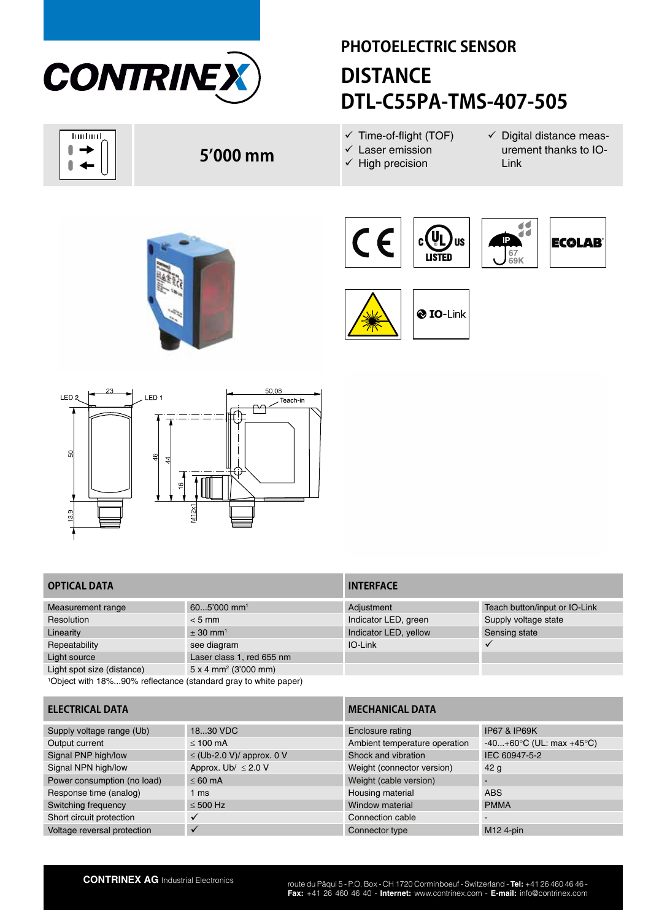

huduul O  $\rightarrow$  $\blacksquare$  $\blacktriangleleft$ 

# **PHOTOELECTRIC SENSOR DISTANCE DTL-C55PA-TMS-407-505**

 $\checkmark$  Time-of-flight (TOF)  $\checkmark$  Laser emission

 $\checkmark$  High precision

 $\checkmark$  Digital distance measurement thanks to IO-Link

**5'000 mm**





**O** IO-Link



# **OPTICAL DATA INTERFACE**

| $605'000$ mm <sup>1</sup>                                                  | Adjustment            | Teach button/input or IO-Link |  |  |
|----------------------------------------------------------------------------|-----------------------|-------------------------------|--|--|
| $< 5$ mm                                                                   | Indicator LED, green  | Supply voltage state          |  |  |
| $\pm$ 30 mm <sup>1</sup>                                                   | Indicator LED, yellow | Sensing state                 |  |  |
| see diagram                                                                | IO-Link               |                               |  |  |
| Laser class 1, red 655 nm                                                  |                       |                               |  |  |
| $5 \times 4$ mm <sup>2</sup> (3'000 mm)                                    |                       |                               |  |  |
| <sup>1</sup> Object with 18%90% reflectance (standard gray to white paper) |                       |                               |  |  |
|                                                                            |                       |                               |  |  |

| Adjustment            | Teach button/input or IO-Link |
|-----------------------|-------------------------------|
| Indicator LED, green  | Supply voltage state          |
| Indicator LED, yellow | Sensing state                 |
| IO-Link               |                               |
|                       |                               |
|                       |                               |
|                       |                               |

| <b>ELECTRICAL DATA</b>      |                                | <b>MECHANICAL DATA</b>        |                                             |  |
|-----------------------------|--------------------------------|-------------------------------|---------------------------------------------|--|
| Supply voltage range (Ub)   | 1830 VDC                       | Enclosure rating              | <b>IP67 &amp; IP69K</b>                     |  |
| Output current              | $< 100 \text{ mA}$             | Ambient temperature operation | $-40+60^{\circ}C$ (UL: max $+45^{\circ}C$ ) |  |
| Signal PNP high/low         | $\leq$ (Ub-2.0 V)/ approx. 0 V | Shock and vibration           | IEC 60947-5-2                               |  |
| Signal NPN high/low         | Approx. Ub/ $\leq$ 2.0 V       | Weight (connector version)    | 42 <sub>q</sub>                             |  |
| Power consumption (no load) | $< 60$ mA                      | Weight (cable version)        |                                             |  |
| Response time (analog)      | 1 ms                           | Housing material              | <b>ABS</b>                                  |  |
| Switching frequency         | $\leq 500$ Hz                  | Window material               | <b>PMMA</b>                                 |  |
| Short circuit protection    |                                | Connection cable              | $\overline{\phantom{0}}$                    |  |
| Voltage reversal protection |                                | Connector type                | $M12$ 4-pin                                 |  |
|                             |                                |                               |                                             |  |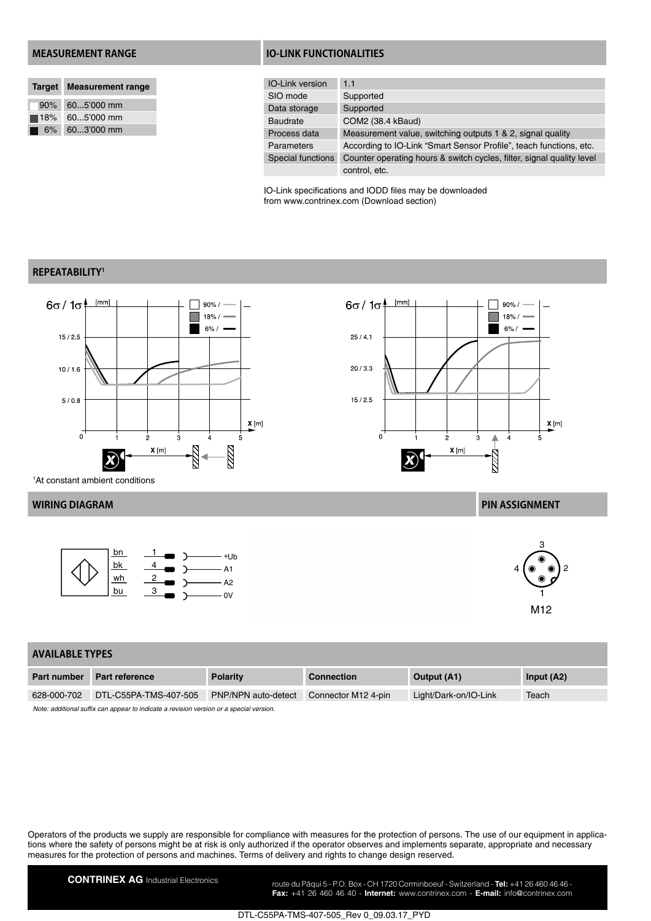|                    | Target Measurement range |  |  |
|--------------------|--------------------------|--|--|
| 90%                | 605'000 mm               |  |  |
| $\blacksquare$ 18% | $605'000$ mm             |  |  |
| 6%                 | 603'000 mm               |  |  |

### **MEASUREMENT RANGE IO-LINK FUNCTIONALITIES**

| <b>IO-Link version</b>   | 1.1                                                                   |
|--------------------------|-----------------------------------------------------------------------|
| SIO mode                 | Supported                                                             |
| Data storage             | Supported                                                             |
| <b>Baudrate</b>          | COM2 (38.4 kBaud)                                                     |
| Process data             | Measurement value, switching outputs 1 & 2, signal quality            |
| Parameters               | According to IO-Link "Smart Sensor Profile", teach functions, etc.    |
| <b>Special functions</b> | Counter operating hours & switch cycles, filter, signal quality level |
|                          | control, etc.                                                         |

IO-Link specifications and IODD files may be downloaded from www.contrinex.com (Download section)

# **REPEATABILITY1**



 $6\sigma/1\sigma$  $[mm]$  $90\% /$  $18% /$ Ħ  $6\%$  /  $25/4.1$  $20/3.3$  $15/2.5$  $\underline{\mathbf{X}}$  [m]  $\overline{0}$  $\overline{2}$  $\overline{3}$ ₳  $\overline{A}$  $X[m]$ 2

1 At constant ambient conditions



### **WIRING DIAGRAM PIN ASSIGNMENT**



### **AVAILABLE TYPES**

| <b>Part number</b>                                                                     | <b>Part reference</b> | <b>Polarity</b>     | <b>Connection</b>   | Output (A1)           | Input $(A2)$ |
|----------------------------------------------------------------------------------------|-----------------------|---------------------|---------------------|-----------------------|--------------|
| 628-000-702                                                                            | DTL-C55PA-TMS-407-505 | PNP/NPN auto-detect | Connector M12 4-pin | Light/Dark-on/IO-Link | Teach        |
| Note: additional suffix can appear to indicate a revision version or a special version |                       |                     |                     |                       |              |

*Note: additional suffix can appear to indicate a revision version or a special version.*

Operators of the products we supply are responsible for compliance with measures for the protection of persons. The use of our equipment in applications where the safety of persons might be at risk is only authorized if the operator observes and implements separate, appropriate and necessary measures for the protection of persons and machines. Terms of delivery and rights to change design reserved.

**CONTRINEX AG** Industrial Electronics route du Pâqui 5 - P.O. Box - CH 1720 Corminboeuf - Switzerland - **Tel:** +41 26 460 46 46 -**Fax:** +41 26 460 46 40 - **Internet:** www.contrinex.com - **E-mail:** info@contrinex.com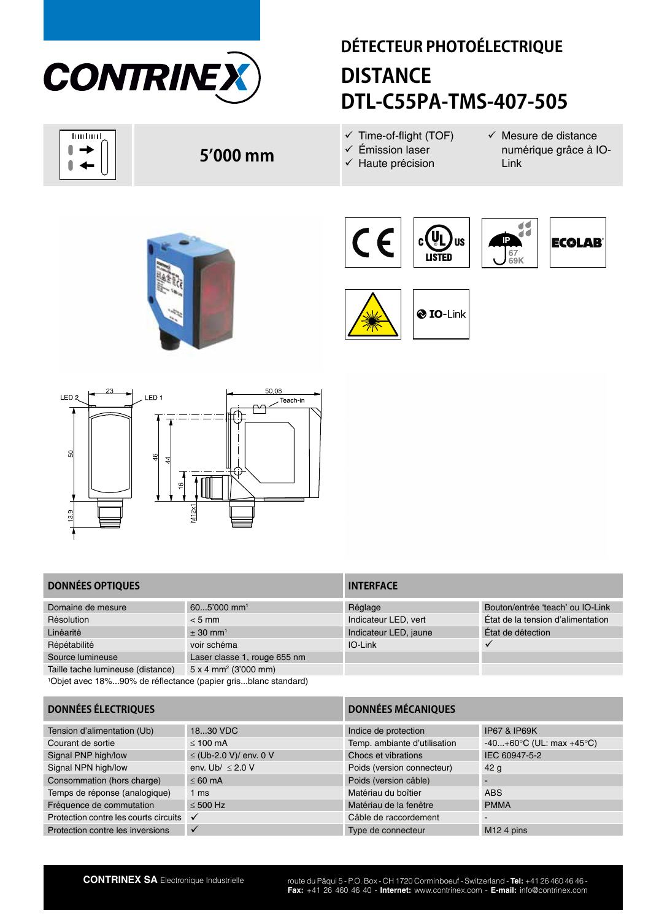

huduul 0  $\rightarrow$  $\begin{array}{c} \hline \end{array}$  $\blacktriangleleft$ 

# **DÉTECTEUR PHOTOÉLECTRIQUE DISTANCE DTL-C55PA-TMS-407-505**

 $\checkmark$  Time-of-flight (TOF)  $\checkmark$  Émission laser

 $\checkmark$  Haute précision

 $\checkmark$  Mesure de distance numérique grâce à IO-Link





**O** IO-Link



## **DONNÉES OPTIQUES INTERFACE**

| Domaine de mesure                                                         | $605'000$ mm <sup>1</sup>               | Réglage               | Bouton/entrée 'teach' ou IO-Link  |  |
|---------------------------------------------------------------------------|-----------------------------------------|-----------------------|-----------------------------------|--|
| Résolution                                                                | $< 5$ mm                                | Indicateur LED, vert  | État de la tension d'alimentation |  |
| Linéarité                                                                 | $\pm$ 30 mm <sup>1</sup>                | Indicateur LED, jaune | État de détection                 |  |
| Répétabilité                                                              | voir schéma                             | IO-Link               |                                   |  |
| Source lumineuse                                                          | Laser classe 1, rouge 655 nm            |                       |                                   |  |
| Taille tache lumineuse (distance)                                         | $5 \times 4$ mm <sup>2</sup> (3'000 mm) |                       |                                   |  |
| <sup>1</sup> Objet avec 18%90% de réflectance (papier grisblanc standard) |                                         |                       |                                   |  |

| Réglage               | Bouton/entrée 'teach' ou IC  |
|-----------------------|------------------------------|
| Indicateur LED, vert  | Etat de la tension d'aliment |
| Indicateur LED, jaune | Etat de détection            |
| IO-Link               |                              |
|                       |                              |

| <b>DONNÉES ÉLECTRIQUES</b>            |                        | <b>DONNÉES MÉCANIQUES</b>    |                                             |  |
|---------------------------------------|------------------------|------------------------------|---------------------------------------------|--|
| Tension d'alimentation (Ub)           | 1830 VDC               | Indice de protection         | <b>IP67 &amp; IP69K</b>                     |  |
| Courant de sortie                     | $< 100$ mA             | Temp. ambiante d'utilisation | $-40+60^{\circ}C$ (UL: max $+45^{\circ}C$ ) |  |
| Signal PNP high/low                   | ≤ (Ub-2.0 V)/ env. 0 V | Chocs et vibrations          | IEC 60947-5-2                               |  |
| Signal NPN high/low                   | env. Ub/ $\leq$ 2.0 V  | Poids (version connecteur)   | 42 <sub>q</sub>                             |  |
| Consommation (hors charge)            | $\leq 60$ mA           | Poids (version câble)        |                                             |  |
| Temps de réponse (analogique)         | 1 <sub>ms</sub>        | Matériau du boîtier          | <b>ABS</b>                                  |  |
| Fréquence de commutation              | $< 500$ Hz             | Matériau de la fenêtre       | <b>PMMA</b>                                 |  |
| Protection contre les courts circuits | $\checkmark$           | Câble de raccordement        |                                             |  |
| Protection contre les inversions      | $\checkmark$           | Type de connecteur           | M <sub>12</sub> 4 pins                      |  |
|                                       |                        |                              |                                             |  |



**5'000 mm**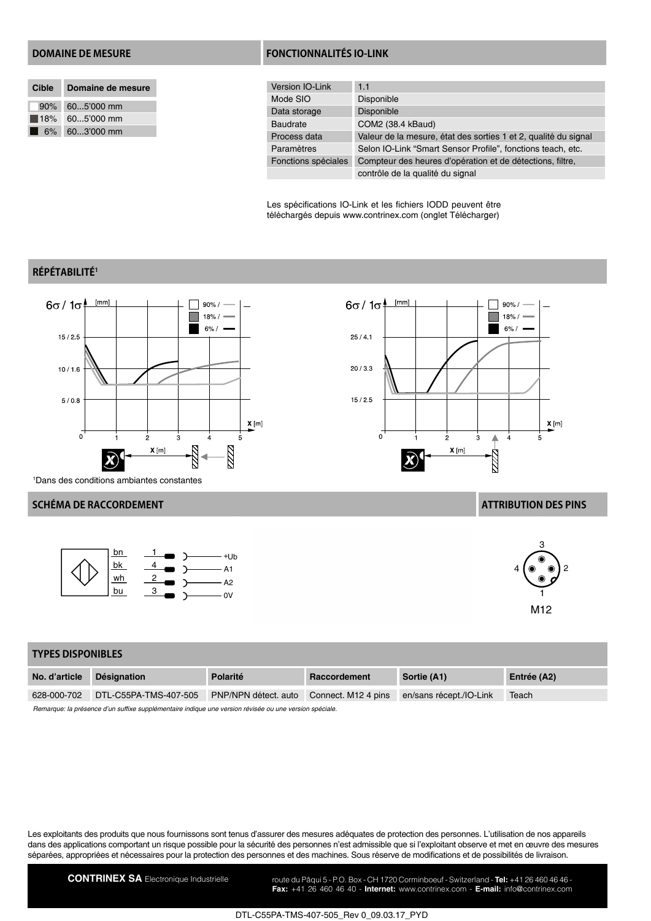| Cible Domaine de mesure |
|-------------------------|
| $90\%$ 605'000 mm       |
| $18\%$ 605'000 mm       |
| 6% 603'000 mm           |

### **DOMAINE DE MESURE FONCTIONNALITÉS IO-LINK**

| Version IO-Link     | 1.1                                                             |
|---------------------|-----------------------------------------------------------------|
| Mode SIO            | Disponible                                                      |
| Data storage        | <b>Disponible</b>                                               |
| Baudrate            | COM2 (38.4 kBaud)                                               |
| Process data        | Valeur de la mesure, état des sorties 1 et 2, qualité du signal |
| Paramètres          | Selon IO-Link "Smart Sensor Profile", fonctions teach, etc.     |
| Fonctions spéciales | Compteur des heures d'opération et de détections, filtre,       |
|                     | contrôle de la qualité du signal                                |

Les spécifications IO-Link et les fichiers IODD peuvent être téléchargés depuis www.contrinex.com (onglet Télécharger)

# **RÉPÉTABILITÉ1**



 $6\sigma/1\sigma$  $[mm]$  $90% /$  $18% /$  $6% /$  $25/4.1$  $20/3.3$  $15/2.5$  $\underline{\mathbf{X}}$  [m]  $\overline{0}$  $\overline{2}$  $\overline{3}$ ₳  $\overline{A}$ 5  $X[m]$ 2

1 Dans des conditions ambiantes constantes

## **SCHÉMA DE RACCORDEMENT ATTRIBUTION DES PINS**





| <b>TYPES DISPONIBLES</b> |                       |                      |                     |                         |             |
|--------------------------|-----------------------|----------------------|---------------------|-------------------------|-------------|
| No. d'article            | <b>Désignation</b>    | Polarité             | Raccordement        | Sortie (A1)             | Entrée (A2) |
| 628-000-702              | DTL-C55PA-TMS-407-505 | PNP/NPN détect. auto | Connect. M12 4 pins | en/sans récept./IO-Link | Teach       |
|                          |                       |                      |                     |                         |             |

*Remarque: la présence d'un suffixe supplémentaire indique une version révisée ou une version spéciale.*

Les exploitants des produits que nous fournissons sont tenus d'assurer des mesures adéquates de protection des personnes. L'utilisation de nos appareils dans des applications comportant un risque possible pour la sécurité des personnes n'est admissible que si l'exploitant observe et met en œuvre des mesures séparées, appropriées et nécessaires pour la protection des personnes et des machines. Sous réserve de modifications et de possibilités de livraison.

CONTRINEX SA Electronique Industrielle route du Pâqui 5 - P.O. Box - CH 1720 Corminboeuf - Switzerland - Tel: +41 26 460 46 46 -

**Fax:** +41 26 460 46 40 - **Internet:** www.contrinex.com - **E-mail:** info@contrinex.com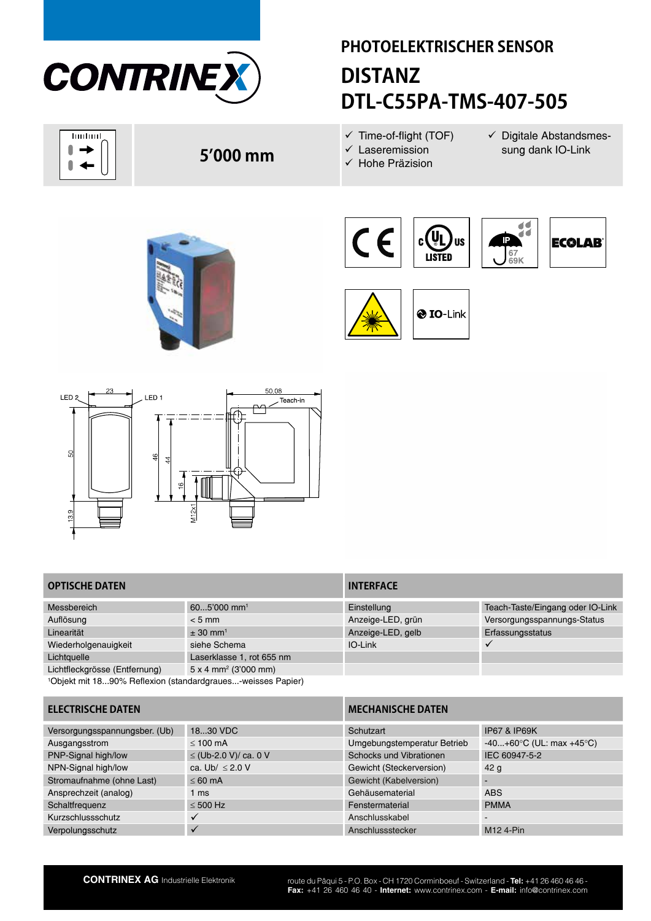

huduul 0  $\rightarrow$  $\blacksquare$  $\blacktriangleleft$ 

# **PHOTOELEKTRISCHER SENSOR DISTANZ DTL-C55PA-TMS-407-505**

- $\checkmark$  Time-of-flight (TOF)  $\checkmark$  Laseremission
- $\checkmark$  Digitale Abstandsmessung dank IO-Link
- 
- 
- $\checkmark$  Hohe Präzision





**O** IO-Link



| S             | $\frac{6}{4}$<br>4           |
|---------------|------------------------------|
| $\frac{9}{2}$ | $\frac{6}{1}$<br>M12x1<br>__ |
|               |                              |

# **OPTISCHE DATEN INTERFACE**

| Messbereich                                                             | $605'000$ mm <sup>1</sup>               | Einstellung       | Teach-Taste/Eingang oder IO-Link |
|-------------------------------------------------------------------------|-----------------------------------------|-------------------|----------------------------------|
| Auflösung                                                               | $< 5$ mm                                | Anzeige-LED, grün | Versorgungsspannungs-Status      |
| Linearität                                                              | $\pm$ 30 mm <sup>1</sup>                | Anzeige-LED, gelb | Erfassungsstatus                 |
| Wiederholgenauigkeit                                                    | siehe Schema                            | IO-Link           |                                  |
| Lichtquelle                                                             | Laserklasse 1, rot 655 nm               |                   |                                  |
| Lichtfleckgrösse (Entfernung)                                           | $5 \times 4$ mm <sup>2</sup> (3'000 mm) |                   |                                  |
| <sup>1</sup> Objekt mit 1890% Reflexion (standardgraues-weisses Papier) |                                         |                   |                                  |

| Einstellung       | Teach-Taste/Eingang oder IO-Link |
|-------------------|----------------------------------|
| Anzeige-LED, grün | Versorgungsspannungs-Status      |
| Anzeige-LED, gelb | Erfassungsstatus                 |
| $IO$ -l ink       |                                  |
|                   |                                  |
|                   |                                  |

| <b>ELECTRISCHE DATEN</b>      |                       | <b>MECHANISCHE DATEN</b>    |                                             |  |
|-------------------------------|-----------------------|-----------------------------|---------------------------------------------|--|
| Versorgungsspannungsber. (Ub) | 1830 VDC              | Schutzart                   | <b>IP67 &amp; IP69K</b>                     |  |
| Ausgangsstrom                 | $\leq 100$ mA         | Umgebungstemperatur Betrieb | $-40+60^{\circ}C$ (UL: max $+45^{\circ}C$ ) |  |
| PNP-Signal high/low           | ≤ (Ub-2.0 V)/ ca. 0 V | Schocks und Vibrationen     | IEC 60947-5-2                               |  |
| NPN-Signal high/low           | ca. Ub/ $\leq$ 2.0 V  | Gewicht (Steckerversion)    | 42 g                                        |  |
| Stromaufnahme (ohne Last)     | $< 60 \text{ mA}$     | Gewicht (Kabelversion)      |                                             |  |
| Ansprechzeit (analog)         | 1 ms                  | Gehäusematerial             | <b>ABS</b>                                  |  |
| Schaltfrequenz                | $\leq 500$ Hz         | Fenstermaterial             | <b>PMMA</b>                                 |  |
| Kurzschlussschutz             |                       | Anschlusskabel              | $\overline{\phantom{a}}$                    |  |
| Verpolungsschutz              |                       | Anschlussstecker            | M12 4-Pin                                   |  |